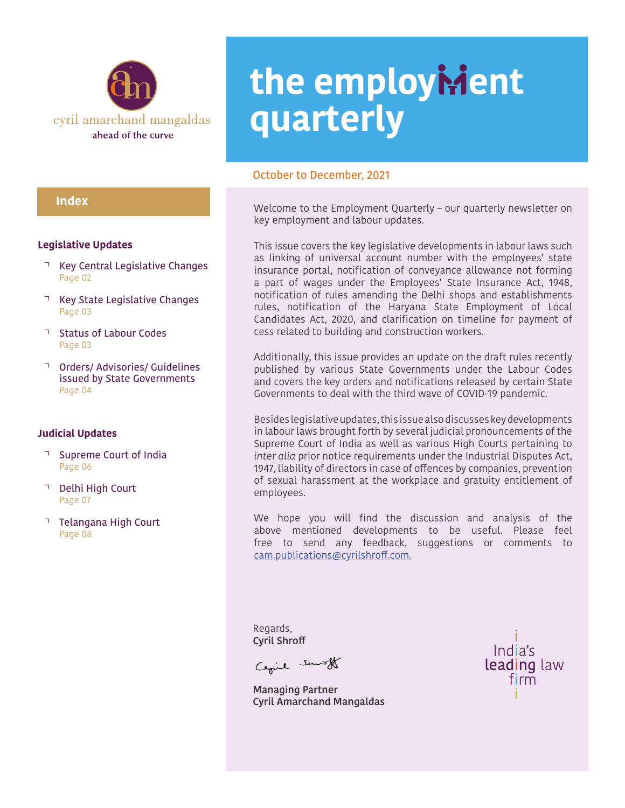

#### **Index**

#### **Legislative Updates**

- Key Central Legislative Changes Page 02
- Key State Legislative Changes Page 03
- Status of Labour Codes Page 03
- Orders/ Advisories/ Guidelines issued by State Governments Page 04

#### **Judicial Updates**

- Supreme Court of India Page 06
- Delhi High Court Page 07
- Telangana High Court Page 08

# the employMent **quarterly**

#### October to December, 2021

Welcome to the Employment Quarterly – our quarterly newsletter on key employment and labour updates.

This issue covers the key legislative developments in labour laws such as linking of universal account number with the employees' state insurance portal, notification of conveyance allowance not forming a part of wages under the Employees' State Insurance Act, 1948, notification of rules amending the Delhi shops and establishments rules, notification of the Haryana State Employment of Local Candidates Act, 2020, and clarification on timeline for payment of cess related to building and construction workers.

Additionally, this issue provides an update on the draft rules recently published by various State Governments under the Labour Codes and covers the key orders and notifications released by certain State Governments to deal with the third wave of COVID-19 pandemic.

Besides legislative updates, this issue also discusses key developments in labour laws brought forth by several judicial pronouncements of the Supreme Court of India as well as various High Courts pertaining to *inter alia* prior notice requirements under the Industrial Disputes Act, 1947, liability of directors in case of offences by companies, prevention of sexual harassment at the workplace and gratuity entitlement of employees.

We hope you will find the discussion and analysis of the above mentioned developments to be useful. Please feel free to send any feedback, suggestions or comments to [cam.publications@cyrilshroff.com.](mailto:cam.publications@cyrilshroff.com.)

Regards, **Cyril Shroff**

Cegil sunst

**Managing Partner Cyril Amarchand Mangaldas**

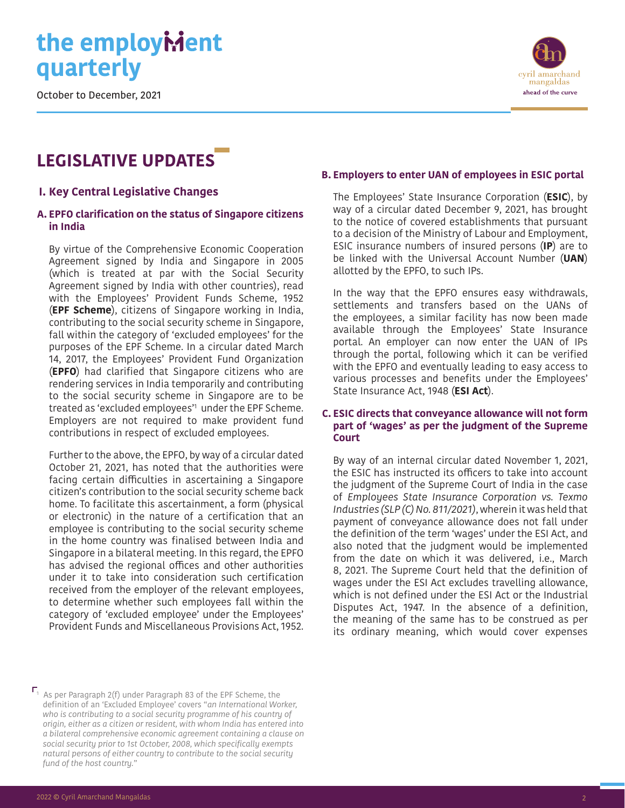October to December, 2021

### **LEGISLATIVE UPDATES**

#### **I. Key Central Legislative Changes**

#### **A. EPFO clarification on the status of Singapore citizens in India**

By virtue of the Comprehensive Economic Cooperation Agreement signed by India and Singapore in 2005 (which is treated at par with the Social Security Agreement signed by India with other countries), read with the Employees' Provident Funds Scheme, 1952 (**EPF Scheme**), citizens of Singapore working in India, contributing to the social security scheme in Singapore, fall within the category of 'excluded employees' for the purposes of the EPF Scheme. In a circular dated March 14, 2017, the Employees' Provident Fund Organization (**EPFO**) had clarified that Singapore citizens who are rendering services in India temporarily and contributing to the social security scheme in Singapore are to be treated as 'excluded employees'1 under the EPF Scheme. Employers are not required to make provident fund contributions in respect of excluded employees.

Further to the above, the EPFO, by way of a circular dated October 21, 2021, has noted that the authorities were facing certain difficulties in ascertaining a Singapore citizen's contribution to the social security scheme back home. To facilitate this ascertainment, a form (physical or electronic) in the nature of a certification that an employee is contributing to the social security scheme in the home country was finalised between India and Singapore in a bilateral meeting. In this regard, the EPFO has advised the regional offices and other authorities under it to take into consideration such certification received from the employer of the relevant employees, to determine whether such employees fall within the category of 'excluded employee' under the Employees' Provident Funds and Miscellaneous Provisions Act, 1952.

### **B. Employers to enter UAN of employees in ESIC portal**

The Employees' State Insurance Corporation (**ESIC**), by way of a circular dated December 9, 2021, has brought to the notice of covered establishments that pursuant to a decision of the Ministry of Labour and Employment, ESIC insurance numbers of insured persons (**IP**) are to be linked with the Universal Account Number (**UAN**) allotted by the EPFO, to such IPs.

In the way that the EPFO ensures easy withdrawals, settlements and transfers based on the UANs of the employees, a similar facility has now been made available through the Employees' State Insurance portal. An employer can now enter the UAN of IPs through the portal, following which it can be verified with the EPFO and eventually leading to easy access to various processes and benefits under the Employees' State Insurance Act, 1948 (**ESI Act**).

#### **C. ESIC directs that conveyance allowance will not form part of 'wages' as per the judgment of the Supreme Court**

By way of an internal circular dated November 1, 2021, the ESIC has instructed its officers to take into account the judgment of the Supreme Court of India in the case of *Employees State Insurance Corporation vs. Texmo Industries (SLP (C) No. 811/2021)*, wherein it was held that payment of conveyance allowance does not fall under the definition of the term 'wages' under the ESI Act, and also noted that the judgment would be implemented from the date on which it was delivered, i.e., March 8, 2021. The Supreme Court held that the definition of wages under the ESI Act excludes travelling allowance, which is not defined under the ESI Act or the Industrial Disputes Act, 1947. In the absence of a definition, the meaning of the same has to be construed as per its ordinary meaning, which would cover expenses



 $\Gamma_1$  As per Paragraph 2(f) under Paragraph 83 of the EPF Scheme, the definition of an 'Excluded Employee' covers "*an International Worker, who is contributing to a social security programme of his country of origin, either as a citizen or resident, with whom India has entered into a bilateral comprehensive economic agreement containing a clause on social security prior to 1st October, 2008, which specifically exempts natural persons of either country to contribute to the social security fund of the host country.*"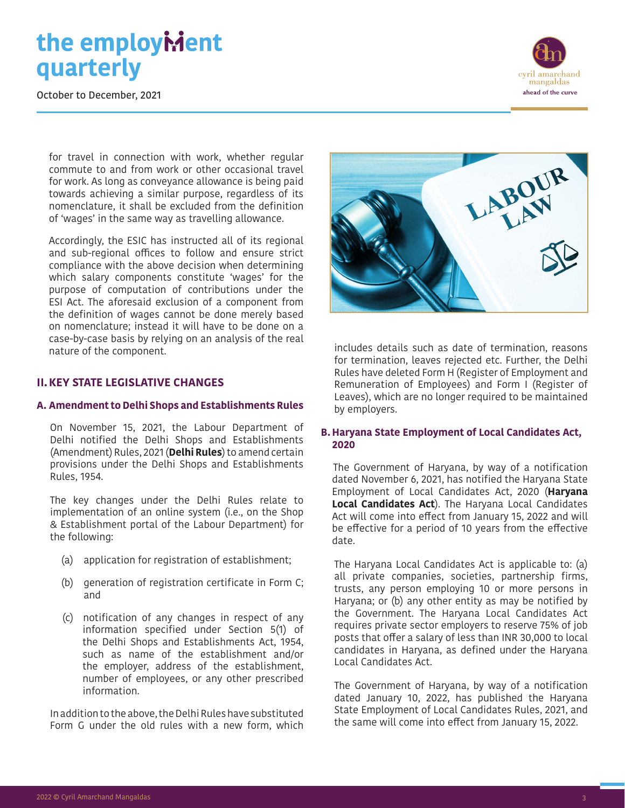October to December, 2021



for travel in connection with work, whether regular commute to and from work or other occasional travel for work. As long as conveyance allowance is being paid towards achieving a similar purpose, regardless of its nomenclature, it shall be excluded from the definition of 'wages' in the same way as travelling allowance.

Accordingly, the ESIC has instructed all of its regional and sub-regional offices to follow and ensure strict compliance with the above decision when determining which salary components constitute 'wages' for the purpose of computation of contributions under the ESI Act. The aforesaid exclusion of a component from the definition of wages cannot be done merely based on nomenclature; instead it will have to be done on a case-by-case basis by relying on an analysis of the real nature of the component.

#### **II.KEY STATE LEGISLATIVE CHANGES**

#### **A. Amendment to Delhi Shops and Establishments Rules**

On November 15, 2021, the Labour Department of Delhi notified the Delhi Shops and Establishments (Amendment) Rules, 2021 (**Delhi Rules**) to amend certain provisions under the Delhi Shops and Establishments Rules, 1954.

The key changes under the Delhi Rules relate to implementation of an online system (i.e., on the Shop & Establishment portal of the Labour Department) for the following:

- (a) application for registration of establishment;
- (b) generation of registration certificate in Form C; and
- (c) notification of any changes in respect of any information specified under Section 5(1) of the Delhi Shops and Establishments Act, 1954, such as name of the establishment and/or the employer, address of the establishment, number of employees, or any other prescribed information.

In addition to the above, the Delhi Rules have substituted Form G under the old rules with a new form, which



includes details such as date of termination, reasons for termination, leaves rejected etc. Further, the Delhi Rules have deleted Form H (Register of Employment and Remuneration of Employees) and Form I (Register of Leaves), which are no longer required to be maintained by employers.

#### **B. Haryana State Employment of Local Candidates Act, 2020**

The Government of Haryana, by way of a notification dated November 6, 2021, has notified the Haryana State Employment of Local Candidates Act, 2020 (**Haryana Local Candidates Act**). The Haryana Local Candidates Act will come into effect from January 15, 2022 and will be effective for a period of 10 years from the effective date.

The Haryana Local Candidates Act is applicable to: (a) all private companies, societies, partnership firms, trusts, any person employing 10 or more persons in Haryana; or (b) any other entity as may be notified by the Government. The Haryana Local Candidates Act requires private sector employers to reserve 75% of job posts that offer a salary of less than INR 30,000 to local candidates in Haryana, as defined under the Haryana Local Candidates Act.

The Government of Haryana, by way of a notification dated January 10, 2022, has published the Haryana State Employment of Local Candidates Rules, 2021, and the same will come into effect from January 15, 2022.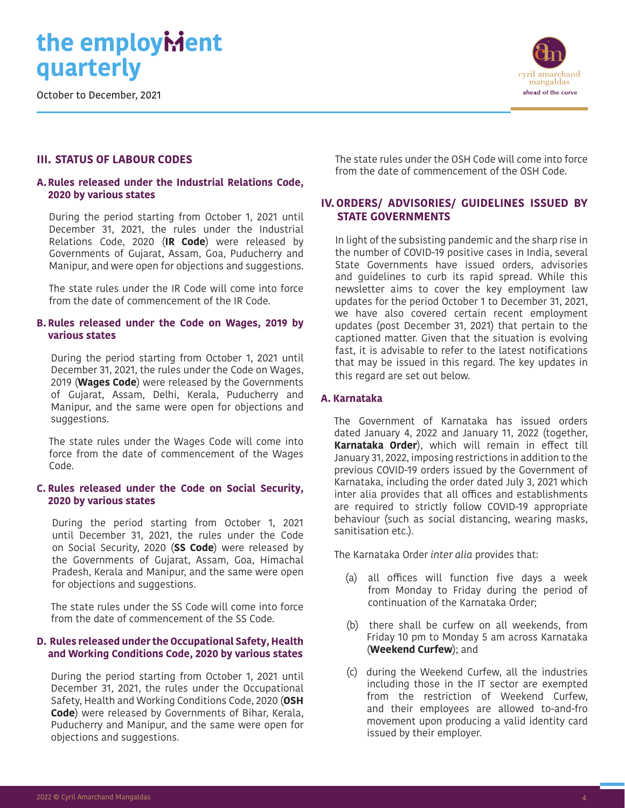October to December, 2021



#### **III. STATUS OF LABOUR CODES**

#### **A.Rules released under the Industrial Relations Code, 2020 by various states**

During the period starting from October 1, 2021 until December 31, 2021, the rules under the Industrial Relations Code, 2020 (**IR Code**) were released by Governments of Gujarat, Assam, Goa, Puducherry and Manipur, and were open for objections and suggestions.

The state rules under the IR Code will come into force from the date of commencement of the IR Code.

#### **B. Rules released under the Code on Wages, 2019 by various states**

During the period starting from October 1, 2021 until December 31, 2021, the rules under the Code on Wages, 2019 (**Wages Code**) were released by the Governments of Gujarat, Assam, Delhi, Kerala, Puducherry and Manipur, and the same were open for objections and suggestions.

The state rules under the Wages Code will come into force from the date of commencement of the Wages Code.

#### **C. Rules released under the Code on Social Security, 2020 by various states**

During the period starting from October 1, 2021 until December 31, 2021, the rules under the Code on Social Security, 2020 (**SS Code**) were released by the Governments of Gujarat, Assam, Goa, Himachal Pradesh, Kerala and Manipur, and the same were open for objections and suggestions.

The state rules under the SS Code will come into force from the date of commencement of the SS Code.

#### **D. Rules released under the Occupational Safety, Health and Working Conditions Code, 2020 by various states**

During the period starting from October 1, 2021 until December 31, 2021, the rules under the Occupational Safety, Health and Working Conditions Code, 2020 (**OSH Code**) were released by Governments of Bihar, Kerala, Puducherry and Manipur, and the same were open for objections and suggestions.

The state rules under the OSH Code will come into force from the date of commencement of the OSH Code.

#### **IV.ORDERS/ ADVISORIES/ GUIDELINES ISSUED BY STATE GOVERNMENTS**

In light of the subsisting pandemic and the sharp rise in the number of COVID-19 positive cases in India, several State Governments have issued orders, advisories and guidelines to curb its rapid spread. While this newsletter aims to cover the key employment law updates for the period October 1 to December 31, 2021, we have also covered certain recent employment updates (post December 31, 2021) that pertain to the captioned matter. Given that the situation is evolving fast, it is advisable to refer to the latest notifications that may be issued in this regard. The key updates in this regard are set out below.

#### **A. Karnataka**

The Government of Karnataka has issued orders dated January 4, 2022 and January 11, 2022 (together, **Karnataka Order**), which will remain in effect till January 31, 2022, imposing restrictions in addition to the previous COVID-19 orders issued by the Government of Karnataka, including the order dated July 3, 2021 which inter alia provides that all offices and establishments are required to strictly follow COVID-19 appropriate behaviour (such as social distancing, wearing masks, sanitisation etc.).

The Karnataka Order *inter alia* provides that:

- (a) all offices will function five days a week from Monday to Friday during the period of continuation of the Karnataka Order;
- (b) there shall be curfew on all weekends, from Friday 10 pm to Monday 5 am across Karnataka (**Weekend Curfew**); and
- (c) during the Weekend Curfew, all the industries including those in the IT sector are exempted from the restriction of Weekend Curfew, and their employees are allowed to-and-fro movement upon producing a valid identity card issued by their employer.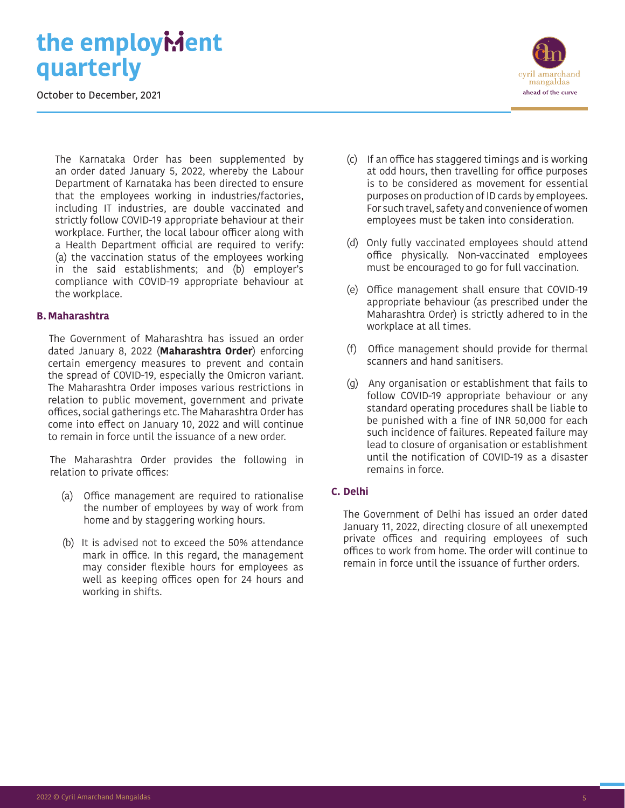October to December, 2021



The Karnataka Order has been supplemented by an order dated January 5, 2022, whereby the Labour Department of Karnataka has been directed to ensure that the employees working in industries/factories, including IT industries, are double vaccinated and strictly follow COVID-19 appropriate behaviour at their workplace. Further, the local labour officer along with a Health Department official are required to verify: (a) the vaccination status of the employees working in the said establishments; and (b) employer's compliance with COVID-19 appropriate behaviour at the workplace.

#### **B. Maharashtra**

The Government of Maharashtra has issued an order dated January 8, 2022 (**Maharashtra Order**) enforcing certain emergency measures to prevent and contain the spread of COVID-19, especially the Omicron variant. The Maharashtra Order imposes various restrictions in relation to public movement, government and private offices, social gatherings etc. The Maharashtra Order has come into effect on January 10, 2022 and will continue to remain in force until the issuance of a new order.

The Maharashtra Order provides the following in relation to private offices:

- (a) Office management are required to rationalise the number of employees by way of work from home and by staggering working hours.
- (b) It is advised not to exceed the 50% attendance mark in office. In this regard, the management may consider flexible hours for employees as well as keeping offices open for 24 hours and working in shifts.
- (c) If an office has staggered timings and is working at odd hours, then travelling for office purposes is to be considered as movement for essential purposes on production of ID cards by employees. For such travel, safety and convenience of women employees must be taken into consideration.
- (d) Only fully vaccinated employees should attend office physically. Non-vaccinated employees must be encouraged to go for full vaccination.
- (e) Office management shall ensure that COVID-19 appropriate behaviour (as prescribed under the Maharashtra Order) is strictly adhered to in the workplace at all times.
- (f) Office management should provide for thermal scanners and hand sanitisers.
- (g) Any organisation or establishment that fails to follow COVID-19 appropriate behaviour or any standard operating procedures shall be liable to be punished with a fine of INR 50,000 for each such incidence of failures. Repeated failure may lead to closure of organisation or establishment until the notification of COVID-19 as a disaster remains in force.

#### **C. Delhi**

The Government of Delhi has issued an order dated January 11, 2022, directing closure of all unexempted private offices and requiring employees of such offices to work from home. The order will continue to remain in force until the issuance of further orders.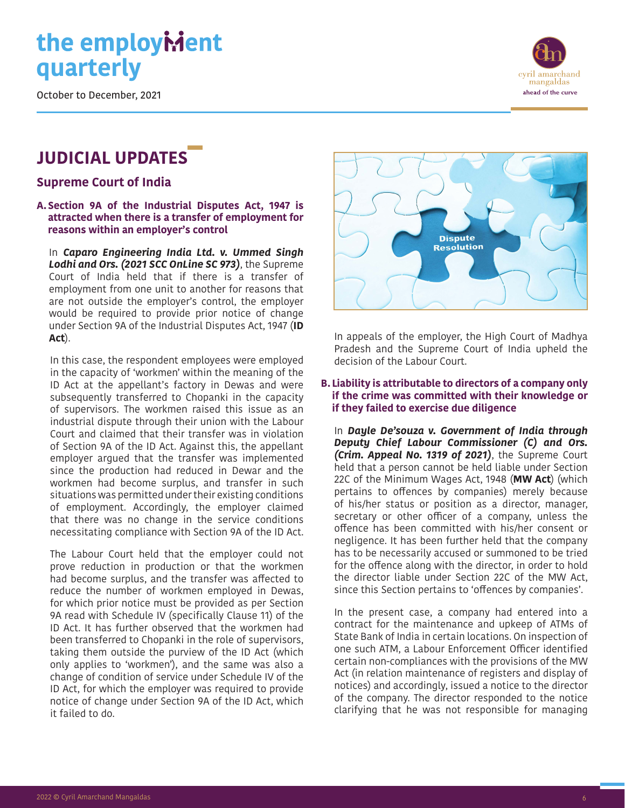October to December, 2021

### **JUDICIAL UPDATES**

**Supreme Court of India**

#### **A.Section 9A of the Industrial Disputes Act, 1947 is attracted when there is a transfer of employment for reasons within an employer's control**

In *Caparo Engineering India Ltd. v. Ummed Singh Lodhi and Ors. (2021 SCC OnLine SC 973)*, the Supreme Court of India held that if there is a transfer of employment from one unit to another for reasons that are not outside the employer's control, the employer would be required to provide prior notice of change under Section 9A of the Industrial Disputes Act, 1947 (**ID Act**).

In this case, the respondent employees were employed in the capacity of 'workmen' within the meaning of the ID Act at the appellant's factory in Dewas and were subsequently transferred to Chopanki in the capacity of supervisors. The workmen raised this issue as an industrial dispute through their union with the Labour Court and claimed that their transfer was in violation of Section 9A of the ID Act. Against this, the appellant employer argued that the transfer was implemented since the production had reduced in Dewar and the workmen had become surplus, and transfer in such situations was permitted under their existing conditions of employment. Accordingly, the employer claimed that there was no change in the service conditions necessitating compliance with Section 9A of the ID Act.

The Labour Court held that the employer could not prove reduction in production or that the workmen had become surplus, and the transfer was affected to reduce the number of workmen employed in Dewas, for which prior notice must be provided as per Section 9A read with Schedule IV (specifically Clause 11) of the ID Act. It has further observed that the workmen had been transferred to Chopanki in the role of supervisors, taking them outside the purview of the ID Act (which only applies to 'workmen'), and the same was also a change of condition of service under Schedule IV of the ID Act, for which the employer was required to provide notice of change under Section 9A of the ID Act, which it failed to do.





In appeals of the employer, the High Court of Madhya Pradesh and the Supreme Court of India upheld the decision of the Labour Court.

#### **B. Liability is attributable to directors of a company only if the crime was committed with their knowledge or if they failed to exercise due diligence**

In *Dayle De'souza v. Government of India through Deputy Chief Labour Commissioner (C) and Ors. (Crim. Appeal No. 1319 of 2021)*, the Supreme Court held that a person cannot be held liable under Section 22C of the Minimum Wages Act, 1948 (**MW Act**) (which pertains to offences by companies) merely because of his/her status or position as a director, manager, secretary or other officer of a company, unless the offence has been committed with his/her consent or negligence. It has been further held that the company has to be necessarily accused or summoned to be tried for the offence along with the director, in order to hold the director liable under Section 22C of the MW Act, since this Section pertains to 'offences by companies'.

In the present case, a company had entered into a contract for the maintenance and upkeep of ATMs of State Bank of India in certain locations. On inspection of one such ATM, a Labour Enforcement Officer identified certain non-compliances with the provisions of the MW Act (in relation maintenance of registers and display of notices) and accordingly, issued a notice to the director of the company. The director responded to the notice clarifying that he was not responsible for managing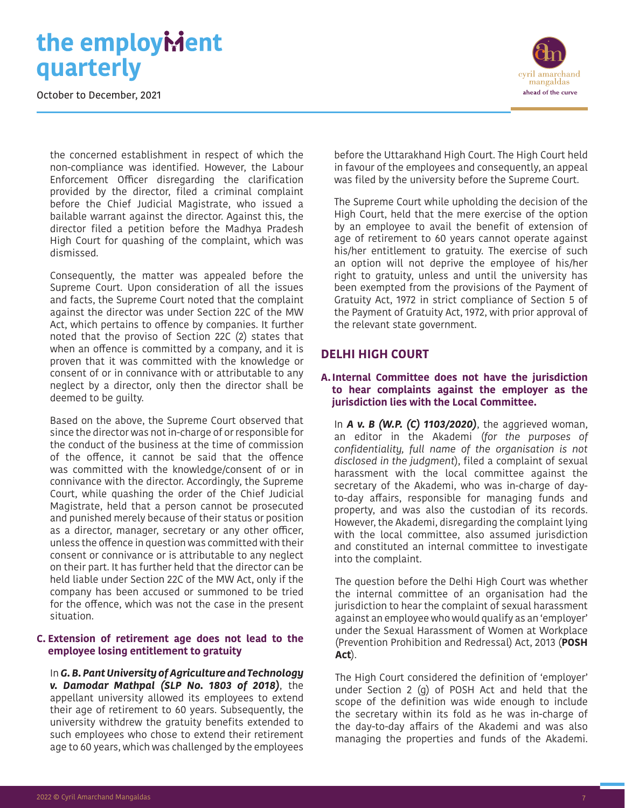October to December, 2021



the concerned establishment in respect of which the non-compliance was identified. However, the Labour Enforcement Officer disregarding the clarification provided by the director, filed a criminal complaint before the Chief Judicial Magistrate, who issued a bailable warrant against the director. Against this, the director filed a petition before the Madhya Pradesh High Court for quashing of the complaint, which was dismissed.

Consequently, the matter was appealed before the Supreme Court. Upon consideration of all the issues and facts, the Supreme Court noted that the complaint against the director was under Section 22C of the MW Act, which pertains to offence by companies. It further noted that the proviso of Section 22C (2) states that when an offence is committed by a company, and it is proven that it was committed with the knowledge or consent of or in connivance with or attributable to any neglect by a director, only then the director shall be deemed to be guilty.

Based on the above, the Supreme Court observed that since the director was not in-charge of or responsible for the conduct of the business at the time of commission of the offence, it cannot be said that the offence was committed with the knowledge/consent of or in connivance with the director. Accordingly, the Supreme Court, while quashing the order of the Chief Judicial Magistrate, held that a person cannot be prosecuted and punished merely because of their status or position as a director, manager, secretary or any other officer, unless the offence in question was committed with their consent or connivance or is attributable to any neglect on their part. It has further held that the director can be held liable under Section 22C of the MW Act, only if the company has been accused or summoned to be tried for the offence, which was not the case in the present situation.

#### **C. Extension of retirement age does not lead to the employee losing entitlement to gratuity**

In *G. B. Pant University of Agriculture and Technology v. Damodar Mathpal (SLP No. 1803 of 2018)*, the appellant university allowed its employees to extend their age of retirement to 60 years. Subsequently, the university withdrew the gratuity benefits extended to such employees who chose to extend their retirement age to 60 years, which was challenged by the employees

before the Uttarakhand High Court. The High Court held in favour of the employees and consequently, an appeal was filed by the university before the Supreme Court.

The Supreme Court while upholding the decision of the High Court, held that the mere exercise of the option by an employee to avail the benefit of extension of age of retirement to 60 years cannot operate against his/her entitlement to gratuity. The exercise of such an option will not deprive the employee of his/her right to gratuity, unless and until the university has been exempted from the provisions of the Payment of Gratuity Act, 1972 in strict compliance of Section 5 of the Payment of Gratuity Act, 1972, with prior approval of the relevant state government.

#### **DELHI HIGH COURT**

#### **A.Internal Committee does not have the jurisdiction to hear complaints against the employer as the jurisdiction lies with the Local Committee.**

In *A v. B (W.P. (C) 1103/2020)*, the aggrieved woman, an editor in the Akademi (*for the purposes of confidentiality, full name of the organisation is not disclosed in the judgment*), filed a complaint of sexual harassment with the local committee against the secretary of the Akademi, who was in-charge of dayto-day affairs, responsible for managing funds and property, and was also the custodian of its records. However, the Akademi, disregarding the complaint lying with the local committee, also assumed jurisdiction and constituted an internal committee to investigate into the complaint.

The question before the Delhi High Court was whether the internal committee of an organisation had the jurisdiction to hear the complaint of sexual harassment against an employee who would qualify as an 'employer' under the Sexual Harassment of Women at Workplace (Prevention Prohibition and Redressal) Act, 2013 (**POSH Act**).

The High Court considered the definition of 'employer' under Section 2 (g) of POSH Act and held that the scope of the definition was wide enough to include the secretary within its fold as he was in-charge of the day-to-day affairs of the Akademi and was also managing the properties and funds of the Akademi.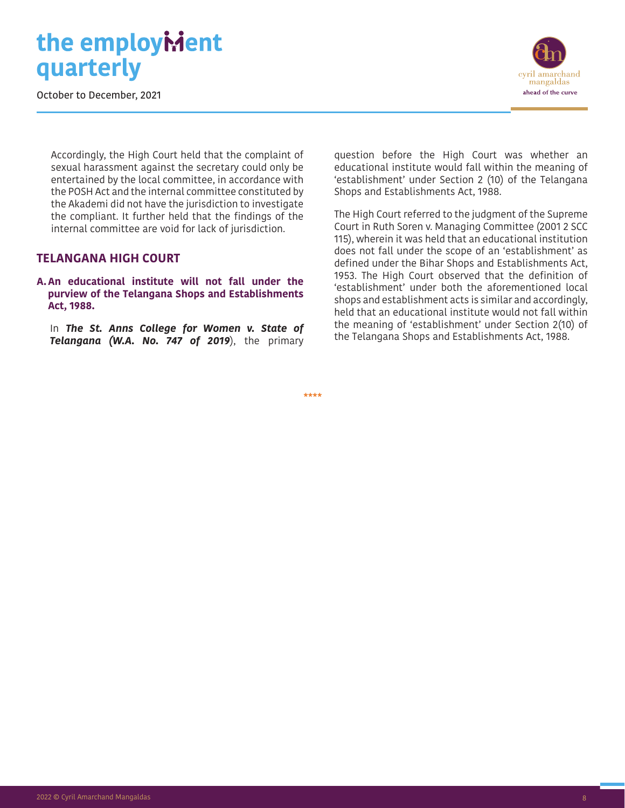October to December, 2021



Accordingly, the High Court held that the complaint of sexual harassment against the secretary could only be entertained by the local committee, in accordance with the POSH Act and the internal committee constituted by the Akademi did not have the jurisdiction to investigate the compliant. It further held that the findings of the internal committee are void for lack of jurisdiction.

#### **TELANGANA HIGH COURT**

**A.An educational institute will not fall under the purview of the Telangana Shops and Establishments Act, 1988.** 

In *The St. Anns College for Women v. State of Telangana (W.A. No. 747 of 2019*), the primary

question before the High Court was whether an educational institute would fall within the meaning of 'establishment' under Section 2 (10) of the Telangana Shops and Establishments Act, 1988.

The High Court referred to the judgment of the Supreme Court in Ruth Soren v. Managing Committee (2001 2 SCC 115), wherein it was held that an educational institution does not fall under the scope of an 'establishment' as defined under the Bihar Shops and Establishments Act, 1953. The High Court observed that the definition of 'establishment' under both the aforementioned local shops and establishment acts is similar and accordingly, held that an educational institute would not fall within the meaning of 'establishment' under Section 2(10) of the Telangana Shops and Establishments Act, 1988.

\*\*\*\*